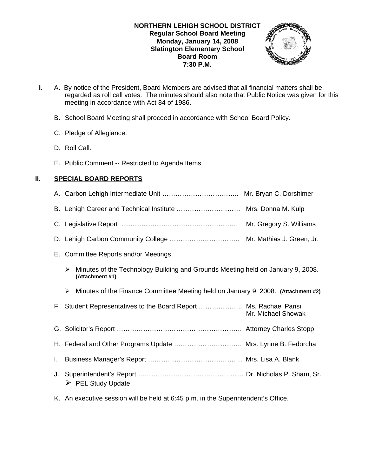# **NORTHERN LEHIGH SCHOOL DISTRICT Regular School Board Meeting Monday, January 14, 2008 Slatington Elementary School Board Room 7:30 P.M.**



- **I.** A. By notice of the President, Board Members are advised that all financial matters shall be regarded as roll call votes. The minutes should also note that Public Notice was given for this meeting in accordance with Act 84 of 1986.
	- B. School Board Meeting shall proceed in accordance with School Board Policy.
	- C. Pledge of Allegiance.
	- D. Roll Call.
	- E. Public Comment -- Restricted to Agenda Items.

# **II. SPECIAL BOARD REPORTS**

|    | E. Committee Reports and/or Meetings                                                                    |
|----|---------------------------------------------------------------------------------------------------------|
|    | Minutes of the Technology Building and Grounds Meeting held on January 9, 2008.<br>⋗<br>(Attachment #1) |
|    | Minutes of the Finance Committee Meeting held on January 9, 2008. (Attachment #2)<br>➤                  |
|    | F. Student Representatives to the Board Report  Ms. Rachael Parisi<br>Mr. Michael Showak                |
|    |                                                                                                         |
|    | H. Federal and Other Programs Update  Mrs. Lynne B. Fedorcha                                            |
| L. |                                                                                                         |
| J. | <b>PEL Study Update</b><br>➤                                                                            |

K. An executive session will be held at 6:45 p.m. in the Superintendent's Office.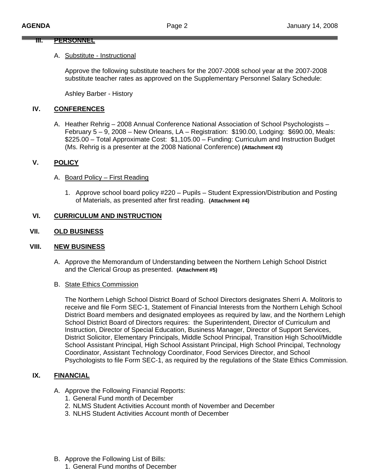#### **III. PERSONNEL**

#### A. Substitute - Instructional

Approve the following substitute teachers for the 2007-2008 school year at the 2007-2008 substitute teacher rates as approved on the Supplementary Personnel Salary Schedule:

Ashley Barber - History

# **IV. CONFERENCES**

A. Heather Rehrig – 2008 Annual Conference National Association of School Psychologists – February 5 – 9, 2008 – New Orleans, LA – Registration: \$190.00, Lodging: \$690.00, Meals: \$225.00 – Total Approximate Cost: \$1,105.00 – Funding: Curriculum and Instruction Budget (Ms. Rehrig is a presenter at the 2008 National Conference) **(Attachment #3)**

# **V. POLICY**

- A. Board Policy First Reading
	- 1. Approve school board policy #220 Pupils Student Expression/Distribution and Posting of Materials, as presented after first reading. **(Attachment #4)**

# **VI. CURRICULUM AND INSTRUCTION**

# **VII. OLD BUSINESS**

#### **VIII. NEW BUSINESS**

A. Approve the Memorandum of Understanding between the Northern Lehigh School District and the Clerical Group as presented. **(Attachment #5)**

#### B. State Ethics Commission

The Northern Lehigh School District Board of School Directors designates Sherri A. Molitoris to receive and file Form SEC-1, Statement of Financial Interests from the Northern Lehigh School District Board members and designated employees as required by law, and the Northern Lehigh School District Board of Directors requires: the Superintendent, Director of Curriculum and Instruction, Director of Special Education, Business Manager, Director of Support Services, District Solicitor, Elementary Principals, Middle School Principal, Transition High School/Middle School Assistant Principal, High School Assistant Principal, High School Principal, Technology Coordinator, Assistant Technology Coordinator, Food Services Director, and School Psychologists to file Form SEC-1, as required by the regulations of the State Ethics Commission.

# **IX. FINANCIAL**

- A. Approve the Following Financial Reports:
	- 1. General Fund month of December
	- 2. NLMS Student Activities Account month of November and December
	- 3. NLHS Student Activities Account month of December
- B. Approve the Following List of Bills:
	- 1. General Fund months of December